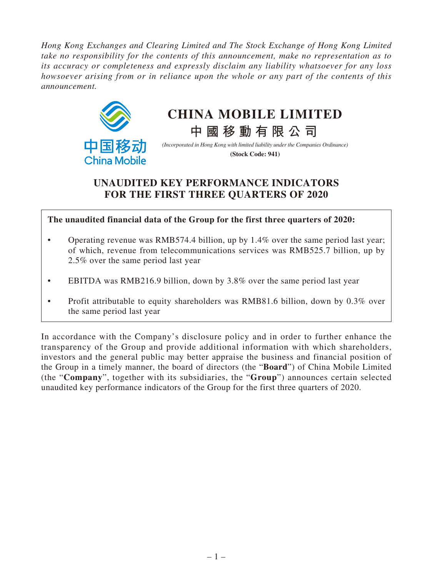*Hong Kong Exchanges and Clearing Limited and The Stock Exchange of Hong Kong Limited take no responsibility for the contents of this announcement, make no representation as to its accuracy or completeness and expressly disclaim any liability whatsoever for any loss howsoever arising from or in reliance upon the whole or any part of the contents of this announcement.*



# **CHINA MOBILE LIMITED**

**中國移動有限公司**

*(Incorporated in Hong Kong with limited liability under the Companies Ordinance)* **(Stock Code: 941)**

## **UNAUDITED KEY PERFORMANCE INDICATORS FOR THE FIRST THREE QUARTERS OF 2020**

**The unaudited financial data of the Group for the first three quarters of 2020:**

- Operating revenue was RMB574.4 billion, up by 1.4% over the same period last year; of which, revenue from telecommunications services was RMB525.7 billion, up by 2.5% over the same period last year
- EBITDA was RMB216.9 billion, down by 3.8% over the same period last year
- Profit attributable to equity shareholders was RMB81.6 billion, down by 0.3% over the same period last year

In accordance with the Company's disclosure policy and in order to further enhance the transparency of the Group and provide additional information with which shareholders, investors and the general public may better appraise the business and financial position of the Group in a timely manner, the board of directors (the "**Board**") of China Mobile Limited (the "**Company**", together with its subsidiaries, the "**Group**") announces certain selected unaudited key performance indicators of the Group for the first three quarters of 2020.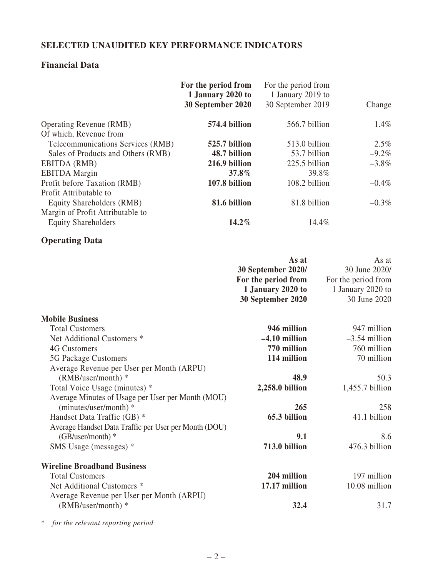### **SELECTED UNAUDITED KEY PERFORMANCE INDICATORS**

### **Financial Data**

|                                                                                                                                                                                                                                                                                                                                                                                                                                                   | For the period from<br>1 January 2020 to<br>30 September 2020 | For the period from<br>1 January 2019 to<br>30 September 2019                                                                          | Change                                                                                                                                  |
|---------------------------------------------------------------------------------------------------------------------------------------------------------------------------------------------------------------------------------------------------------------------------------------------------------------------------------------------------------------------------------------------------------------------------------------------------|---------------------------------------------------------------|----------------------------------------------------------------------------------------------------------------------------------------|-----------------------------------------------------------------------------------------------------------------------------------------|
| <b>Operating Revenue (RMB)</b>                                                                                                                                                                                                                                                                                                                                                                                                                    | 574.4 billion                                                 | 566.7 billion                                                                                                                          | 1.4%                                                                                                                                    |
| Of which, Revenue from<br>Telecommunications Services (RMB)<br>Sales of Products and Others (RMB)                                                                                                                                                                                                                                                                                                                                                 | 525.7 billion<br>48.7 billion                                 | 513.0 billion<br>53.7 billion                                                                                                          | 2.5%<br>$-9.2\%$                                                                                                                        |
| EBITDA (RMB)<br><b>EBITDA</b> Margin                                                                                                                                                                                                                                                                                                                                                                                                              | 216.9 billion<br>$37.8\%$                                     | 225.5 billion                                                                                                                          | $-3.8\%$<br>39.8%                                                                                                                       |
| Profit before Taxation (RMB)<br>Profit Attributable to                                                                                                                                                                                                                                                                                                                                                                                            | 107.8 billion                                                 | 108.2 billion                                                                                                                          | $-0.4%$                                                                                                                                 |
| Equity Shareholders (RMB)<br>Margin of Profit Attributable to                                                                                                                                                                                                                                                                                                                                                                                     | 81.6 billion                                                  | 81.8 billion                                                                                                                           | $-0.3\%$                                                                                                                                |
| <b>Equity Shareholders</b>                                                                                                                                                                                                                                                                                                                                                                                                                        | 14.2%                                                         |                                                                                                                                        | 14.4%                                                                                                                                   |
| <b>Operating Data</b>                                                                                                                                                                                                                                                                                                                                                                                                                             |                                                               |                                                                                                                                        |                                                                                                                                         |
|                                                                                                                                                                                                                                                                                                                                                                                                                                                   |                                                               | As at<br>30 September 2020/<br>For the period from<br>1 January 2020 to<br>30 September 2020                                           | As at<br>30 June 2020/<br>For the period from<br>1 January 2020 to<br>30 June 2020                                                      |
| <b>Mobile Business</b><br><b>Total Customers</b><br>Net Additional Customers *<br>4G Customers<br>5G Package Customers<br>Average Revenue per User per Month (ARPU)<br>(RMB/user/month) *<br>Total Voice Usage (minutes) *<br>Average Minutes of Usage per User per Month (MOU)<br>(minutes/user/month) *<br>Handset Data Traffic (GB) *<br>Average Handset Data Traffic per User per Month (DOU)<br>$(GB/user/month)*$<br>SMS Usage (messages) * |                                                               | 946 million<br>$-4.10$ million<br>770 million<br>114 million<br>48.9<br>2,258.0 billion<br>265<br>65.3 billion<br>9.1<br>713.0 billion | 947 million<br>$-3.54$ million<br>760 million<br>70 million<br>50.3<br>$1,455.7$ billion<br>258<br>41.1 billion<br>8.6<br>476.3 billion |
| <b>Wireline Broadband Business</b><br><b>Total Customers</b>                                                                                                                                                                                                                                                                                                                                                                                      |                                                               | 204 million                                                                                                                            | 197 million                                                                                                                             |
| Net Additional Customers *<br>Average Revenue per User per Month (ARPU)                                                                                                                                                                                                                                                                                                                                                                           |                                                               | 17.17 million                                                                                                                          | 10.08 million                                                                                                                           |
| (RMB/user/month) *                                                                                                                                                                                                                                                                                                                                                                                                                                |                                                               | 32.4                                                                                                                                   | 31.7                                                                                                                                    |

\* *for the relevant reporting period*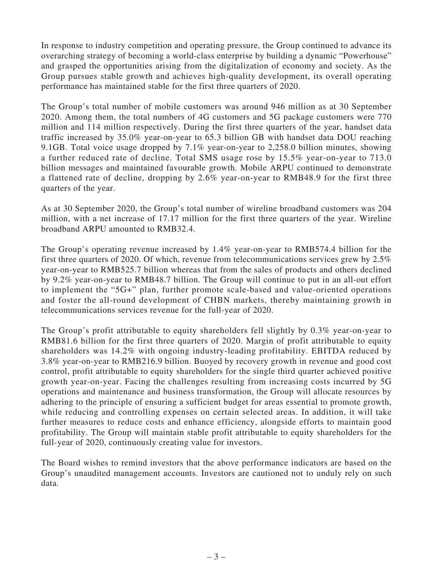In response to industry competition and operating pressure, the Group continued to advance its overarching strategy of becoming a world-class enterprise by building a dynamic "Powerhouse" and grasped the opportunities arising from the digitalization of economy and society. As the Group pursues stable growth and achieves high-quality development, its overall operating performance has maintained stable for the first three quarters of 2020.

The Group's total number of mobile customers was around 946 million as at 30 September 2020. Among them, the total numbers of 4G customers and 5G package customers were 770 million and 114 million respectively. During the first three quarters of the year, handset data traffic increased by 35.0% year-on-year to 65.3 billion GB with handset data DOU reaching 9.1GB. Total voice usage dropped by 7.1% year-on-year to 2,258.0 billion minutes, showing a further reduced rate of decline. Total SMS usage rose by 15.5% year-on-year to 713.0 billion messages and maintained favourable growth. Mobile ARPU continued to demonstrate a flattened rate of decline, dropping by 2.6% year-on-year to RMB48.9 for the first three quarters of the year.

As at 30 September 2020, the Group's total number of wireline broadband customers was 204 million, with a net increase of 17.17 million for the first three quarters of the year. Wireline broadband ARPU amounted to RMB32.4.

The Group's operating revenue increased by 1.4% year-on-year to RMB574.4 billion for the first three quarters of 2020. Of which, revenue from telecommunications services grew by 2.5% year-on-year to RMB525.7 billion whereas that from the sales of products and others declined by 9.2% year-on-year to RMB48.7 billion. The Group will continue to put in an all-out effort to implement the "5G+" plan, further promote scale-based and value-oriented operations and foster the all-round development of CHBN markets, thereby maintaining growth in telecommunications services revenue for the full-year of 2020.

The Group's profit attributable to equity shareholders fell slightly by 0.3% year-on-year to RMB81.6 billion for the first three quarters of 2020. Margin of profit attributable to equity shareholders was 14.2% with ongoing industry-leading profitability. EBITDA reduced by 3.8% year-on-year to RMB216.9 billion. Buoyed by recovery growth in revenue and good cost control, profit attributable to equity shareholders for the single third quarter achieved positive growth year-on-year. Facing the challenges resulting from increasing costs incurred by 5G operations and maintenance and business transformation, the Group will allocate resources by adhering to the principle of ensuring a sufficient budget for areas essential to promote growth, while reducing and controlling expenses on certain selected areas. In addition, it will take further measures to reduce costs and enhance efficiency, alongside efforts to maintain good profitability. The Group will maintain stable profit attributable to equity shareholders for the full-year of 2020, continuously creating value for investors.

The Board wishes to remind investors that the above performance indicators are based on the Group's unaudited management accounts. Investors are cautioned not to unduly rely on such data.